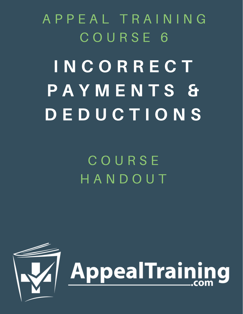A P P E A L T R A I N I N G C O U R S E 6

# I N C O R R E C T P A Y M E N T S & D E D U C T I O N S

C O U R S E H A N D O U T

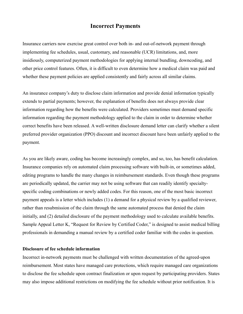# **Incorrect Payments**

Insurance carriers now exercise great control over both in- and out-of-network payment through implementing fee schedules, usual, customary, and reasonable (UCR) limitations, and, more insidiously, computerized payment methodologies for applying internal bundling, downcoding, and other price control features. Often, it is difficult to even determine how a medical claim was paid and whether these payment policies are applied consistently and fairly across all similar claims.

An insurance company's duty to disclose claim information and provide denial information typically extends to partial payments; however, the explanation of benefits does not always provide clear information regarding how the benefits were calculated. Providers sometimes must demand specific information regarding the payment methodology applied to the claim in order to determine whether correct benefits have been released. A well-written disclosure demand letter can clarify whether a silent preferred provider organization (PPO) discount and incorrect discount have been unfairly applied to the payment.

As you are likely aware, coding has become increasingly complex, and so, too, has benefit calculation. Insurance companies rely on automated claim processing software with built-in, or sometimes added, editing programs to handle the many changes in reimbursement standards. Even though these programs are periodically updated, the carrier may not be using software that can readily identify specialtyspecific coding combinations or newly added codes. For this reason, one of the most basic incorrect payment appeals is a letter which includes (1) a demand for a physical review by a qualified reviewer, rather than resubmission of the claim through the same automated process that denied the claim initially, and (2) detailed disclosure of the payment methodology used to calculate available benefits. Sample Appeal Letter K, "Request for Review by Certified Coder," is designed to assist medical billing professionals in demanding a manual review by a certified coder familiar with the codes in question.

#### **Disclosure of fee schedule information**

Incorrect in-network payments must be challenged with written documentation of the agreed-upon reimbursement. Most states have managed care protections, which require managed care organizations to disclose the fee schedule upon contract finalization or upon request by participating providers. States may also impose additional restrictions on modifying the fee schedule without prior notification. It is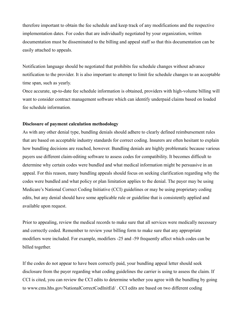therefore important to obtain the fee schedule and keep track of any modifications and the respective implementation dates. For codes that are individually negotiated by your organization, written documentation must be disseminated to the billing and appeal staff so that this documentation can be easily attached to appeals.

Notification language should be negotiated that prohibits fee schedule changes without advance notification to the provider. It is also important to attempt to limit fee schedule changes to an acceptable time span, such as yearly.

Once accurate, up-to-date fee schedule information is obtained, providers with high-volume billing will want to consider contract management software which can identify underpaid claims based on loaded fee schedule information.

#### **Disclosure of payment calculation methodology**

As with any other denial type, bundling denials should adhere to clearly defined reimbursement rules that are based on acceptable industry standards for correct coding. Insurers are often hesitant to explain how bundling decisions are reached, however. Bundling denials are highly problematic because various payers use different claim-editing software to assess codes for compatibility. It becomes difficult to determine why certain codes were bundled and what medical information might be persuasive in an appeal. For this reason, many bundling appeals should focus on seeking clarification regarding why the codes were bundled and what policy or plan limitation applies to the denial. The payer may be using Medicare's National Correct Coding Initiative (CCI) guidelines or may be using proprietary coding edits, but any denial should have some applicable rule or guideline that is consistently applied and available upon request.

Prior to appealing, review the medical records to make sure that all services were medically necessary and correctly coded. Remember to review your billing form to make sure that any appropriate modifiers were included. For example, modifiers -25 and -59 frequently affect which codes can be billed together.

If the codes do not appear to have been correctly paid, your bundling appeal letter should seek disclosure from the payer regarding what coding guidelines the carrier is using to assess the claim. If CCI is cited, you can review the CCI edits to determine whether you agree with the bundling by going to www.cms.hhs.gov/NationalCorrectCodInitEd/ . CCI edits are based on two different coding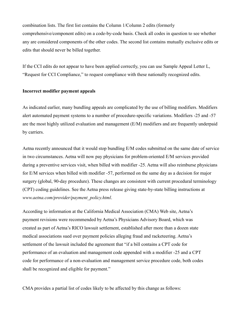combination lists. The first list contains the Column 1/Column 2 edits (formerly comprehensive/component edits) on a code-by-code basis. Check all codes in question to see whether any are considered components of the other codes. The second list contains mutually exclusive edits or edits that should never be billed together.

If the CCI edits do not appear to have been applied correctly, you can use Sample Appeal Letter L, "Request for CCI Compliance," to request compliance with these nationally recognized edits.

#### **Incorrect modifier payment appeals**

As indicated earlier, many bundling appeals are complicated by the use of billing modifiers. Modifiers alert automated payment systems to a number of procedure-specific variations. Modifiers -25 and -57 are the most highly utilized evaluation and management (E/M) modifiers and are frequently underpaid by carriers.

Aetna recently announced that it would stop bundling E/M codes submitted on the same date of service in two circumstances. Aetna will now pay physicians for problem-oriented E/M services provided during a preventive services visit, when billed with modifier -25. Aetna will also reimburse physicians for E/M services when billed with modifier -57, performed on the same day as a decision for major surgery (global, 90-day procedure). These changes are consistent with current procedural terminology (CPT) coding guidelines. See the Aetna press release giving state-by-state billing instructions at *www.aetna.com/provider/payment\_policy.html*.

According to information at the California Medical Association (CMA) Web site, Aetna's payment revisions were recommended by Aetna's Physicians Advisory Board, which was created as part of Aetna's RICO lawsuit settlement, established after more than a dozen state medical associations sued over payment policies alleging fraud and racketeering. Aetna's settlement of the lawsuit included the agreement that "if a bill contains a CPT code for performance of an evaluation and management code appended with a modifier -25 and a CPT code for performance of a non-evaluation and management service procedure code, both codes shall be recognized and eligible for payment."

CMA provides a partial list of codes likely to be affected by this change as follows: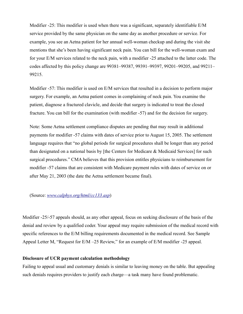Modifier -25: This modifier is used when there was a significant, separately identifiable E/M service provided by the same physician on the same day as another procedure or service. For example, you see an Aetna patient for her annual well-woman checkup and during the visit she mentions that she's been having significant neck pain. You can bill for the well-woman exam and for your E/M services related to the neck pain, with a modifier -25 attached to the latter code. The codes affected by this policy change are 99381–99387, 99391–99397, 99201–99205, and 99211– 99215.

Modifier -57: This modifier is used on E/M services that resulted in a decision to perform major surgery. For example, an Aetna patient comes in complaining of neck pain. You examine the patient, diagnose a fractured clavicle, and decide that surgery is indicated to treat the closed fracture. You can bill for the examination (with modifier -57) and for the decision for surgery.

Note: Some Aetna settlement compliance disputes are pending that may result in additional payments for modifier -57 claims with dates of service prior to August 15, 2005. The settlement language requires that "no global periods for surgical procedures shall be longer than any period than designated on a national basis by [the Centers for Medicare & Medicaid Services] for such surgical procedures." CMA believes that this provision entitles physicians to reimbursement for modifier -57 claims that are consistent with Medicare payment rules with dates of service on or after May 21, 2003 (the date the Aetna settlement became final).

(Source: *[www.calphys.org/html/cc133.asp](http://www.calphys.org/html/cc133.asp)*)

Modifier -25/-57 appeals should, as any other appeal, focus on seeking disclosure of the basis of the denial and review by a qualified coder. Your appeal may require submission of the medical record with specific references to the E/M billing requirements documented in the medical record. See Sample Appeal Letter M, "Request for E/M –25 Review," for an example of E/M modifier -25 appeal.

### **Disclosure of UCR payment calculation methodology**

Failing to appeal usual and customary denials is similar to leaving money on the table. But appealing such denials requires providers to justify each charge—a task many have found problematic.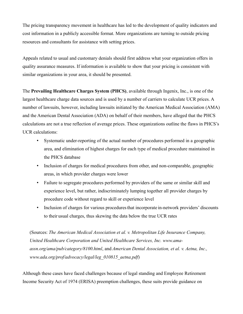The pricing transparency movement in healthcare has led to the development of quality indicators and cost information in a publicly accessible format. More organizations are turning to outside pricing resources and consultants for assistance with setting prices.

Appeals related to usual and customary denials should first address what your organization offers in quality assurance measures. If information is available to show that your pricing is consistent with similar organizations in your area, it should be presented.

The **Prevailing Healthcare Charges System (PHCS)**, available through Ingenix, Inc., is one of the largest healthcare charge data sources and is used by a number of carriers to calculate UCR prices. A number of lawsuits, however, including lawsuits initiated by the American Medical Association (AMA) and the American Dental Association (ADA) on behalf of their members, have alleged that the PHCS calculations are not a true reflection of average prices. These organizations outline the flaws in PHCS's UCR calculations:

- Systematic under-reporting of the actual number of procedures performed in a geographic area, and elimination of highest charges for each type of medical procedure maintained in the PHCS database
- Inclusion of charges for medical procedures from other, and non-comparable, geographic areas, in which provider charges were lower
- Failure to segregate procedures performed by providers of the same or similar skill and experience level, but rather, indiscriminately lumping together all provider charges by procedure code without regard to skill or experience level
- Inclusion of charges for various procedures that incorporate in-network providers' discounts to their usual charges, thus skewing the data below the true UCR rates

(Sources: *The American Medical Association et al. v. Metropolitan Life Insurance Company, United Healthcare Corporation and United Healthcare Services, Inc. www.amaassn.org/ama/pub/category/8100.html*, and *American Dental Association, et al. v. Aetna, Inc., www.ada.org/prof/advocacy/legal/leg\_010815\_aetna.pdf*)

Although these cases have faced challenges because of legal standing and Employee Retirement Income Security Act of 1974 (ERISA) preemption challenges, these suits provide guidance on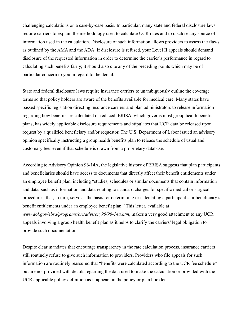challenging calculations on a case-by-case basis. In particular, many state and federal disclosure laws require carriers to explain the methodology used to calculate UCR rates and to disclose any source of information used in the calculation. Disclosure of such information allows providers to assess the flaws as outlined by the AMA and the ADA. If disclosure is refused, your Level II appeals should demand disclosure of the requested information in order to determine the carrier's performance in regard to calculating such benefits fairly; it should also cite any of the preceding points which may be of particular concern to you in regard to the denial.

State and federal disclosure laws require insurance carriers to unambiguously outline the coverage terms so that policy holders are aware of the benefits available for medical care. Many states have passed specific legislation directing insurance carriers and plan administrators to release information regarding how benefits are calculated or reduced. ERISA, which governs most group health benefit plans, has widely applicable disclosure requirements and stipulates that UCR data be released upon request by a qualified beneficiary and/or requestor. The U.S. Department of Labor issued an advisory opinion specifically instructing a group health benefits plan to release the schedule of usual and customary fees even if that schedule is drawn from a proprietary database.

According to Advisory Opinion 96-14A, the legislative history of ERISA suggests that plan participants and beneficiaries should have access to documents that directly affect their benefit entitlements under an employee benefit plan, including "studies, schedules or similar documents that contain information and data, such as information and data relating to standard charges for specific medical or surgical procedures, that, in turn, serve as the basis for determining or calculating a participant's or beneficiary's benefit entitlements under an employee benefit plan." This letter, available at *www.dol.gov/ebsa/programs/ori/advisory96/96-14a.htm*, makes a very good attachment to any UCR appeals involving a group health benefit plan as it helps to clarify the carriers' legal obligation to provide such documentation.

Despite clear mandates that encourage transparency in the rate calculation process, insurance carriers still routinely refuse to give such information to providers. Providers who file appeals for such information are routinely reassured that "benefits were calculated according to the UCR fee schedule" but are not provided with details regarding the data used to make the calculation or provided with the UCR applicable policy definition as it appears in the policy or plan booklet.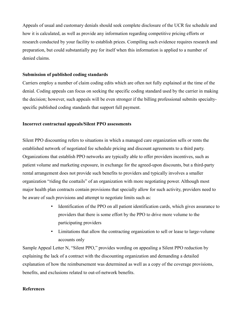Appeals of usual and customary denials should seek complete disclosure of the UCR fee schedule and how it is calculated, as well as provide any information regarding competitive pricing efforts or research conducted by your facility to establish prices. Compiling such evidence requires research and preparation, but could substantially pay for itself when this information is applied to a number of denied claims.

# **Submission of published coding standards**

Carriers employ a number of claim coding edits which are often not fully explained at the time of the denial. Coding appeals can focus on seeking the specific coding standard used by the carrier in making the decision; however, such appeals will be even stronger if the billing professional submits specialtyspecific published coding standards that support full payment.

# **Incorrect contractual appeals/Silent PPO assessments**

Silent PPO discounting refers to situations in which a managed care organization sells or rents the established network of negotiated fee schedule pricing and discount agreements to a third party. Organizations that establish PPO networks are typically able to offer providers incentives, such as patient volume and marketing exposure, in exchange for the agreed-upon discounts, but a third-party rental arrangement does not provide such benefits to providers and typically involves a smaller organization "riding the coattails" of an organization with more negotiating power. Although most major health plan contracts contain provisions that specially allow for such activity, providers need to be aware of such provisions and attempt to negotiate limits such as:

- Identification of the PPO on all patient identification cards, which gives assurance to providers that there is some effort by the PPO to drive more volume to the participating providers
- Limitations that allow the contracting organization to sell or lease to large-volume accounts only

Sample Appeal Letter N, "Silent PPO," provides wording on appealing a Silent PPO reduction by explaining the lack of a contract with the discounting organization and demanding a detailed explanation of how the reimbursement was determined as well as a copy of the coverage provisions, benefits, and exclusions related to out-of-network benefits.

# **References**